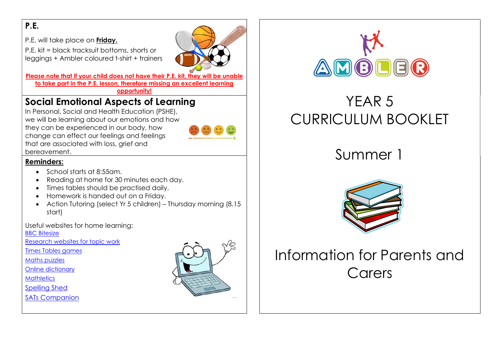### P.E.

P.E. will take place on **Friday.** 

P.E. kit = black tracksuit bottoms, shorts or leggings + Ambler coloured t-shirt + trainers

Please note that if your child does not have their P.E. kit, they will be unable to take part in the P.E. lesson, therefore missing an excellent learning opportunity!

### Social Emotional Aspects of Learning

In Personal, Social and Health Education (PSHE), we will be learning about our emotions and how they can be experienced in our body, how change can effect our feelings and feelings that are associated with loss, grief and bereavement.

#### Reminders:

- School starts at 8:55am.
- Reading at home for 30 minutes each day.
- Times tables should be practised daily.
- Homework is handed out on a Friday.
- Action Tutoring (select Yr 5 children) Thursday morning (8.15 start)

Useful websites for home learning:

BBC Bitesize

- Research websites for topic work
- Times Tables games

Maths puzzles

Online dictionary

**Mathletics** 

Spelling Shed

SATs Companion





# YEAR 5 CURRICULUM BOOKLET

# Summer 1



# Information for Parents and **Carers**